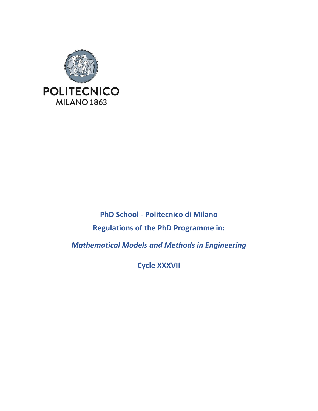

**PhD School - Politecnico di Milano Regulations of the PhD Programme in:**

*Mathematical Models and Methods in Engineering*

**Cycle XXXVII**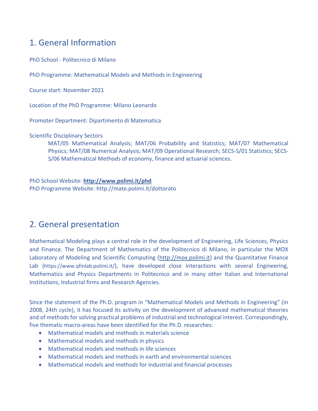# 1. General Information

PhD School - Politecnico di Milano

PhD Programme: Mathematical Models and Methods in Engineering

Course start: November 2021

Location of the PhD Programme: Milano Leonardo

Promoter Department: Dipartimento di Matematica

Scientific Disciplinary Sectors

MAT/05 Mathematical Analysis; MAT/06 Probability and Statistics; MAT/07 Mathematical Physics; MAT/08 Numerical Analysis; MAT/09 Operational Research; SECS-S/01 Statistics; SECS-S/06 Mathematical Methods of economy, finance and actuarial sciences.

PhD School Website: **<http://www.polimi.it/phd>** PhD Programme Website: http://mate.polimi.it/dottorato

# 2. General presentation

Mathematical Modeling plays a central role in the development of Engineering, Life Sciences, Physics and Finance. The Department of Mathematics of the Politecnico di Milano, in particular the MOX Laboratory of Modeling and Scientific Computing [\(http://mox.polimi.it\)](http://mox.polimi.it/) and the Quantitative Finance Lab (<https://www.qfinlab.polimi.it/>), have developed close interactions with several Engineering, Mathematics and Physics Departments in Politecnico and in many other Italian and International Institutions, Industrial firms and Research Agencies.

Since the statement of the Ph.D. program in "Mathematical Models and Methods in Engineering" (in 2008, 24th cycle), it has focused its activity on the development of advanced mathematical theories and of methods for solving practical problems of industrial and technological interest. Correspondingly, five thematic macro-areas have been identified for the Ph.D. researches:

- Mathematical models and methods in materials science
- Mathematical models and methods in physics
- Mathematical models and methods in life sciences
- Mathematical models and methods in earth and environmental sciences
- Mathematical models and methods for industrial and financial processes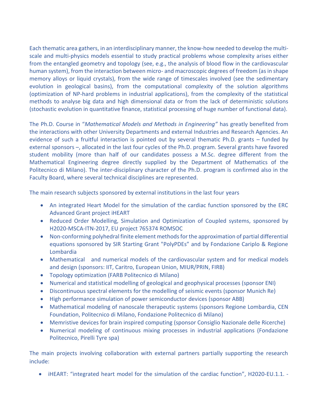Each thematic area gathers, in an interdisciplinary manner, the know-how needed to develop the multiscale and multi-physics models essential to study practical problems whose complexity arises either from the entangled geometry and topology (see, e.g., the analysis of blood flow in the cardiovascular human system), from the interaction between micro- and macroscopic degrees of freedom (as in shape memory alloys or liquid crystals), from the wide range of timescales involved (see the sedimentary evolution in geological basins), from the computational complexity of the solution algorithms (optimization of NP-hard problems in industrial applications), from the complexity of the statistical methods to analyse big data and high dimensional data or from the lack of deterministic solutions (stochastic evolution in quantitative finance, statistical processing of huge number of functional data).

The Ph.D. Course in "*Mathematical Models and Methods in Engineering"* has greatly benefited from the interactions with other University Departments and external Industries and Research Agencies. An evidence of such a fruitful interaction is pointed out by several thematic Ph.D. grants – funded by external sponsors –, allocated in the last four cycles of the Ph.D. program. Several grants have favored student mobility (more than half of our candidates possess a M.Sc. degree different from the Mathematical Engineering degree directly supplied by the Department of Mathematics of the Politecnico di Milano). The inter-disciplinary character of the Ph.D. program is confirmed also in the Faculty Board, where several technical disciplines are represented.

The main research subjects sponsored by external institutions in the last four years

- An integrated Heart Model for the simulation of the cardiac function sponsored by the ERC Advanced Grant project iHEART
- Reduced Order Modelling, Simulation and Optimization of Coupled systems, sponsored by H2020-MSCA-ITN-2017, EU project 765374 ROMSOC
- Non-conforming polyhedral finite element methods for the approximation of partial differential equations sponsored by SIR Starting Grant "PolyPDEs" and by Fondazione Cariplo & Regione Lombardia
- Mathematical and numerical models of the cardiovascular system and for medical models and design (sponsors: IIT, Caritro, European Union, MIUR/PRIN, FIRB)
- Topology optimization (FARB Politecnico di Milano)
- Numerical and statistical modelling of geological and geophysical processes (sponsor ENI)
- Discontinuous spectral elements for the modelling of seismic events (sponsor Munich Re)
- High performance simulation of power semiconductor devices (sponsor ABB)
- Mathematical modeling of nanoscale therapeutic systems (sponsors Regione Lombardia, CEN Foundation, Politecnico di Milano, Fondazione Politecnico di Milano)
- Memristive devices for brain inspired computing (sponsor Consiglio Nazionale delle Ricerche)
- Numerical modeling of continuous mixing processes in industrial applications (Fondazione Politecnico, Pirelli Tyre spa)

The main projects involving collaboration with external partners partially supporting the research include:

iHEART: "integrated heart model for the simulation of the cardiac function", H2020-EU.1.1. -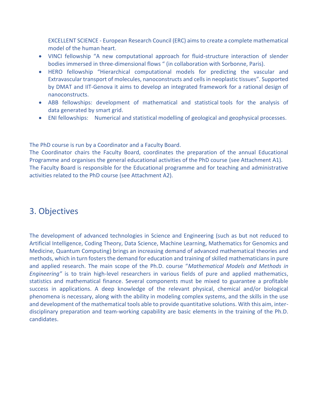EXCELLENT SCIENCE - European Research Council (ERC) aims to create a complete mathematical model of the human heart.

- VINCI fellowship "A new computational approach for fluid-structure interaction of slender bodies immersed in three-dimensional flows " (in collaboration with Sorbonne, Paris).
- HERO fellowship "Hierarchical computational models for predicting the vascular and Extravascular transport of molecules, nanoconstructs and cells in neoplastic tissues". Supported by DMAT and IIT-Genova it aims to develop an integrated framework for a rational design of nanoconstructs.
- ABB fellowships: development of mathematical and statistical tools for the analysis of data generated by smart grid.
- ENI fellowships: Numerical and statistical modelling of geological and geophysical processes.

The PhD course is run by a Coordinator and a Faculty Board.

The Coordinator chairs the Faculty Board, coordinates the preparation of the annual Educational Programme and organises the general educational activities of the PhD course (see Attachment A1). The Faculty Board is responsible for the Educational programme and for teaching and administrative activities related to the PhD course (see Attachment A2).

# 3. Objectives

The development of advanced technologies in Science and Engineering (such as but not reduced to Artificial Intelligence, Coding Theory, Data Science, Machine Learning, Mathematics for Genomics and Medicine, Quantum Computing) brings an increasing demand of advanced mathematical theories and methods, which in turn fosters the demand for education and training of skilled mathematicians in pure and applied research. The main scope of the Ph.D. course "*Mathematical Models and Methods in Engineering"* is to train high-level researchers in various fields of pure and applied mathematics, statistics and mathematical finance. Several components must be mixed to guarantee a profitable success in applications. A deep knowledge of the relevant physical, chemical and/or biological phenomena is necessary, along with the ability in modeling complex systems, and the skills in the use and development of the mathematical tools able to provide quantitative solutions. With this aim, interdisciplinary preparation and team-working capability are basic elements in the training of the Ph.D. candidates.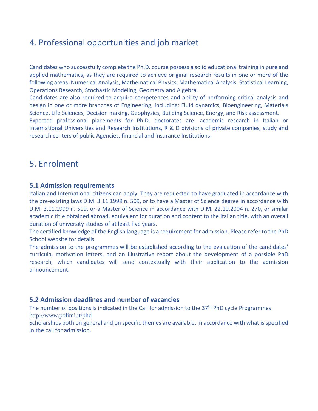## 4. Professional opportunities and job market

Candidates who successfully complete the Ph.D. course possess a solid educational training in pure and applied mathematics, as they are required to achieve original research results in one or more of the following areas: Numerical Analysis, Mathematical Physics, Mathematical Analysis, Statistical Learning, Operations Research, Stochastic Modeling, Geometry and Algebra.

Candidates are also required to acquire competences and ability of performing critical analysis and design in one or more branches of Engineering, including: Fluid dynamics, Bioengineering, Materials Science, Life Sciences, Decision making, Geophysics, Building Science, Energy, and Risk assessment.

Expected professional placements for Ph.D. doctorates are: academic research in Italian or International Universities and Research Institutions, R & D divisions of private companies, study and research centers of public Agencies, financial and insurance Institutions.

### 5. Enrolment

### **5.1 Admission requirements**

Italian and International citizens can apply. They are requested to have graduated in accordance with the pre-existing laws D.M. 3.11.1999 n. 509, or to have a Master of Science degree in accordance with D.M. 3.11.1999 n. 509, or a Master of Science in accordance with D.M. 22.10.2004 n. 270, or similar academic title obtained abroad, equivalent for duration and content to the Italian title, with an overall duration of university studies of at least five years.

The certified knowledge of the English language is a requirement for admission. Please refer to the PhD School website for details.

The admission to the programmes will be established according to the evaluation of the candidates' curricula, motivation letters, and an illustrative report about the development of a possible PhD research, which candidates will send contextually with their application to the admission announcement.

### **5.2 Admission deadlines and number of vacancies**

The number of positions is indicated in the Call for admission to the 37<sup>th</sup> PhD cycle Programmes: <http://www.polimi.it/phd>

Scholarships both on general and on specific themes are available, in accordance with what is specified in the call for admission.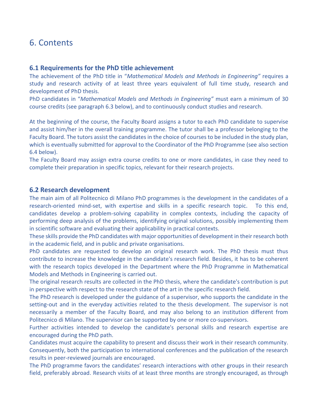### 6. Contents

#### **6.1 Requirements for the PhD title achievement**

The achievement of the PhD title in "*Mathematical Models and Methods in Engineering"* requires a study and research activity of at least three years equivalent of full time study, research and development of PhD thesis.

PhD candidates in "*Mathematical Models and Methods in Engineering"* must earn a minimum of 30 course credits (see paragraph 6.3 below), and to continuously conduct studies and research.

At the beginning of the course, the Faculty Board assigns a tutor to each PhD candidate to supervise and assist him/her in the overall training programme. The tutor shall be a professor belonging to the Faculty Board. The tutors assist the candidates in the choice of courses to be included in the study plan, which is eventually submitted for approval to the Coordinator of the PhD Programme (see also section 6.4 below).

The Faculty Board may assign extra course credits to one or more candidates, in case they need to complete their preparation in specific topics, relevant for their research projects.

#### **6.2 Research development**

The main aim of all Politecnico di Milano PhD programmes is the development in the candidates of a research-oriented mind-set, with expertise and skills in a specific research topic. To this end, candidates develop a problem-solving capability in complex contexts, including the capacity of performing deep analysis of the problems, identifying original solutions, possibly implementing them in scientific software and evaluating their applicability in practical contexts.

These skills provide the PhD candidates with major opportunities of development in their research both in the academic field, and in public and private organisations.

PhD candidates are requested to develop an original research work. The PhD thesis must thus contribute to increase the knowledge in the candidate's research field. Besides, it has to be coherent with the research topics developed in the Department where the PhD Programme in Mathematical Models and Methods in Engineering is carried out.

The original research results are collected in the PhD thesis, where the candidate's contribution is put in perspective with respect to the research state of the art in the specific research field.

The PhD research is developed under the guidance of a supervisor, who supports the candidate in the setting-out and in the everyday activities related to the thesis development. The supervisor is not necessarily a member of the Faculty Board, and may also belong to an institution different from Politecnico di Milano. The supervisor can be supported by one or more co-supervisors.

Further activities intended to develop the candidate's personal skills and research expertise are encouraged during the PhD path.

Candidates must acquire the capability to present and discuss their work in their research community. Consequently, both the participation to international conferences and the publication of the research results in peer-reviewed journals are encouraged.

The PhD programme favors the candidates' research interactions with other groups in their research field, preferably abroad. Research visits of at least three months are strongly encouraged, as through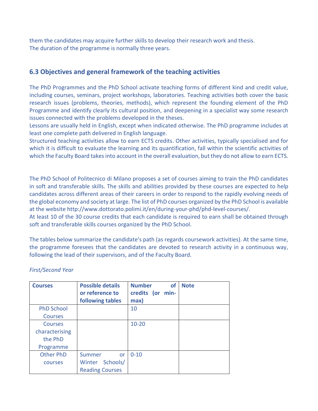them the candidates may acquire further skills to develop their research work and thesis. The duration of the programme is normally three years.

### **6.3 Objectives and general framework of the teaching activities**

The PhD Programmes and the PhD School activate teaching forms of different kind and credit value, including courses, seminars, project workshops, laboratories. Teaching activities both cover the basic research issues (problems, theories, methods), which represent the founding element of the PhD Programme and identify clearly its cultural position, and deepening in a specialist way some research issues connected with the problems developed in the theses.

Lessons are usually held in English, except when indicated otherwise. The PhD programme includes at least one complete path delivered in English language.

Structured teaching activities allow to earn ECTS credits. Other activities, typically specialised and for which it is difficult to evaluate the learning and its quantification, fall within the scientific activities of which the Faculty Board takes into account in the overall evaluation, but they do not allow to earn ECTS.

The PhD School of Politecnico di Milano proposes a set of courses aiming to train the PhD candidates in soft and transferable skills. The skills and abilities provided by these courses are expected to help candidates across different areas of their careers in order to respond to the rapidly evolving needs of the global economy and society at large. The list of PhD courses organized by the PhD School is available at the website http://www.dottorato.polimi.it/en/during-your-phd/phd-level-courses/.

At least 10 of the 30 course credits that each candidate is required to earn shall be obtained through soft and transferable skills courses organized by the PhD School.

The tables below summarize the candidate's path (as regards coursework activities). At the same time, the programme foresees that the candidates are devoted to research activity in a continuous way, following the lead of their supervisors, and of the Faculty Board.

| <b>Courses</b>    | <b>Possible details</b><br>or reference to | <b>Number</b><br><b>of</b><br>credits (or min- | <b>Note</b> |
|-------------------|--------------------------------------------|------------------------------------------------|-------------|
|                   | following tables                           | max)                                           |             |
| <b>PhD School</b> |                                            | 10                                             |             |
| <b>Courses</b>    |                                            |                                                |             |
| <b>Courses</b>    |                                            | $10 - 20$                                      |             |
| characterising    |                                            |                                                |             |
| the PhD           |                                            |                                                |             |
| Programme         |                                            |                                                |             |
| <b>Other PhD</b>  | Summer<br>or                               | $0 - 10$                                       |             |
| courses           | Winter Schools/                            |                                                |             |
|                   | <b>Reading Courses</b>                     |                                                |             |

### *First/Second Year*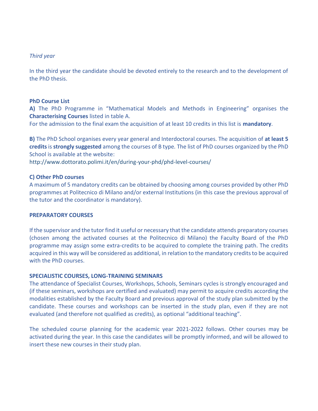#### *Third year*

In the third year the candidate should be devoted entirely to the research and to the development of the PhD thesis.

#### **PhD Course List**

**A)** The PhD Programme in "Mathematical Models and Methods in Engineering" organises the **Characterising Courses** listed in table A.

For the admission to the final exam the acquisition of at least 10 credits in this list is **mandatory**.

**B)** The PhD School organises every year general and Interdoctoral courses. The acquisition of **at least 5 credits**is **strongly suggested** among the courses of B type*.* The list of PhD courses organized by the PhD School is available at the website:

<http://www.dottorato.polimi.it/en/during-your-phd/phd-level-courses/>

#### **C) Other PhD courses**

A maximum of 5 mandatory credits can be obtained by choosing among courses provided by other PhD programmes at Politecnico di Milano and/or external Institutions (in this case the previous approval of the tutor and the coordinator is mandatory).

#### **PREPARATORY COURSES**

If the supervisor and the tutor find it useful or necessary that the candidate attends preparatory courses (chosen among the activated courses at the Politecnico di Milano) the Faculty Board of the PhD programme may assign some extra-credits to be acquired to complete the training path. The credits acquired in this way will be considered as additional, in relation to the mandatory credits to be acquired with the PhD courses.

#### **SPECIALISTIC COURSES, LONG-TRAINING SEMINARS**

The attendance of Specialist Courses, Workshops, Schools, Seminars cycles is strongly encouraged and (if these seminars, workshops are certified and evaluated) may permit to acquire credits according the modalities established by the Faculty Board and previous approval of the study plan submitted by the candidate. These courses and workshops can be inserted in the study plan, even if they are not evaluated (and therefore not qualified as credits), as optional "additional teaching".

The scheduled course planning for the academic year 2021-2022 follows. Other courses may be activated during the year. In this case the candidates will be promptly informed, and will be allowed to insert these new courses in their study plan.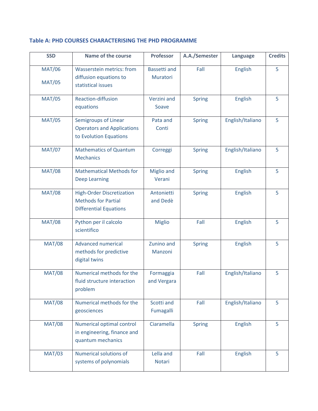#### **Table A: PHD COURSES CHARACTERISING THE PHD PROGRAMME**

| <b>SSD</b>                     | <b>Name of the course</b>                                                                       | <b>Professor</b>                | A.A./Semester | Language         | <b>Credits</b> |
|--------------------------------|-------------------------------------------------------------------------------------------------|---------------------------------|---------------|------------------|----------------|
| <b>MAT/06</b><br><b>MAT/05</b> | <b>Wasserstein metrics: from</b><br>diffusion equations to<br>statistical issues                | <b>Bassetti and</b><br>Muratori | Fall          | <b>English</b>   | 5              |
| <b>MAT/05</b>                  | Reaction-diffusion<br>equations                                                                 | Verzini and<br>Soave            | <b>Spring</b> | <b>English</b>   | 5              |
| <b>MAT/05</b>                  | <b>Semigroups of Linear</b><br><b>Operators and Applications</b><br>to Evolution Equations      | Pata and<br>Conti               | <b>Spring</b> | English/Italiano | 5              |
| <b>MAT/07</b>                  | <b>Mathematics of Quantum</b><br><b>Mechanics</b>                                               | Correggi                        | <b>Spring</b> | English/Italiano | 5              |
| <b>MAT/08</b>                  | <b>Mathematical Methods for</b><br><b>Deep Learning</b>                                         | <b>Miglio and</b><br>Verani     | <b>Spring</b> | <b>English</b>   | 5              |
| <b>MAT/08</b>                  | <b>High-Order Discretization</b><br><b>Methods for Partial</b><br><b>Differential Equations</b> | Antonietti<br>and Dedè          | <b>Spring</b> | <b>English</b>   | 5              |
| <b>MAT/08</b>                  | Python per il calcolo<br>scientifico                                                            | <b>Miglio</b>                   | Fall          | <b>English</b>   | 5              |
| <b>MAT/08</b>                  | <b>Advanced numerical</b><br>methods for predictive<br>digital twins                            | Zunino and<br>Manzoni           | <b>Spring</b> | <b>English</b>   | 5              |
| <b>MAT/08</b>                  | Numerical methods for the<br>fluid structure interaction<br>problem                             | Formaggia<br>and Vergara        | Fall          | English/Italiano | 5              |
| <b>MAT/08</b>                  | Numerical methods for the<br>geosciences                                                        | Scotti and<br>Fumagalli         | Fall          | English/Italiano | 5              |
| <b>MAT/08</b>                  | Numerical optimal control<br>in engineering, finance and<br>quantum mechanics                   | Ciaramella                      | <b>Spring</b> | <b>English</b>   | 5              |
| <b>MAT/03</b>                  | Numerical solutions of<br>systems of polynomials                                                | Lella and<br><b>Notari</b>      | Fall          | <b>English</b>   | 5              |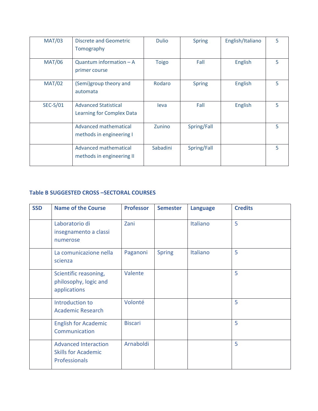| <b>MAT/03</b>   | <b>Discrete and Geometric</b><br>Tomography              | <b>Dulio</b> | <b>Spring</b> | English/Italiano | 5 |
|-----------------|----------------------------------------------------------|--------------|---------------|------------------|---|
| <b>MAT/06</b>   | Quantum information $- A$<br>primer course               | <b>Toigo</b> | Fall          | English          | 5 |
| <b>MAT/02</b>   | (Semi)group theory and<br>automata                       | Rodaro       | <b>Spring</b> | English          | 5 |
| <b>SEC-S/01</b> | <b>Advanced Statistical</b><br>Learning for Complex Data | leva         | Fall          | English          | 5 |
|                 | Advanced mathematical<br>methods in engineering I        | Zunino       | Spring/Fall   |                  | 5 |
|                 | Advanced mathematical<br>methods in engineering II       | Sabadini     | Spring/Fall   |                  | 5 |

### **Table B SUGGESTED CROSS –SECTORAL COURSES**

| <b>SSD</b> | <b>Name of the Course</b>                                                  | <b>Professor</b> | <b>Semester</b> | <b>Language</b> | <b>Credits</b> |
|------------|----------------------------------------------------------------------------|------------------|-----------------|-----------------|----------------|
|            | Laboratorio di<br>insegnamento a classi<br>numerose                        | Zani             |                 | Italiano        | 5              |
|            | La comunicazione nella<br>scienza                                          | Paganoni         | <b>Spring</b>   | Italiano        | 5              |
|            | Scientific reasoning,<br>philosophy, logic and<br>applications             | Valente          |                 |                 | 5              |
|            | Introduction to<br><b>Academic Research</b>                                | Volonté          |                 |                 | 5              |
|            | <b>English for Academic</b><br>Communication                               | <b>Biscari</b>   |                 |                 | 5              |
|            | <b>Advanced Interaction</b><br><b>Skills for Academic</b><br>Professionals | Arnaboldi        |                 |                 | 5              |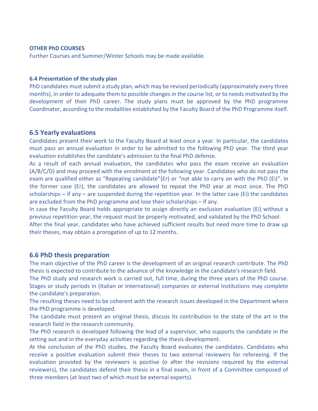#### **OTHER PhD COURSES**

Further Courses and Summer/Winter Schools may be made available.

#### **6.4 Presentation of the study plan**

PhD candidates must submit a study plan, which may be revised periodically (approximately every three months), in order to adequate them to possible changes in the course list, or to needs motivated by the development of their PhD career. The study plans must be approved by the PhD programme Coordinator, according to the modalities established by the Faculty Board of the PhD Programme itself.

#### **6.5 Yearly evaluations**

Candidates present their work to the Faculty Board at least once a year. In particular, the candidates must pass an annual evaluation in order to be admitted to the following PhD year. The third year evaluation establishes the candidate's admission to the final PhD defense.

As a result of each annual evaluation, the candidates who pass the exam receive an evaluation (A/B/C/D) and may proceed with the enrolment at the following year. Candidates who do not pass the exam are qualified either as "Repeating candidate"(Er) or "not able to carry on with the PhD (Ei)". In the former case (Er), the candidates are allowed to repeat the PhD year at most once. The PhD scholarships – if any – are suspended during the repetition year. In the latter case (Ei) the candidates are excluded from the PhD programme and lose their scholarships – if any.

In case the Faculty Board holds appropriate to assign directly an exclusion evaluation (Ei) without a previous repetition year, the request must be properly motivated, and validated by the PhD School.

After the final year, candidates who have achieved sufficient results but need more time to draw up their theses, may obtain a prorogation of up to 12 months.

#### **6.6 PhD thesis preparation**

The main objective of the PhD career is the development of an original research contribute. The PhD thesis is expected to contribute to the advance of the knowledge in the candidate's research field.

The PhD study and research work is carried out, full time, during the three years of the PhD course. Stages or study periods in (Italian or International) companies or external Institutions may complete the candidate's preparation.

The resulting theses need to be coherent with the research issues developed in the Department where the PhD programme is developed.

The candidate must present an original thesis, discuss its contribution to the state of the art in the research field in the research community.

The PhD research is developed following the lead of a supervisor, who supports the candidate in the setting out and in the everyday activities regarding the thesis development.

At the conclusion of the PhD studies, the Faculty Board evaluates the candidates. Candidates who receive a positive evaluation submit their theses to two external reviewers for refereeing. If the evaluation provided by the reviewers is positive (o after the revisions required by the external reviewers), the candidates defend their thesis in a final exam, in front of a Committee composed of three members (at least two of which must be external experts).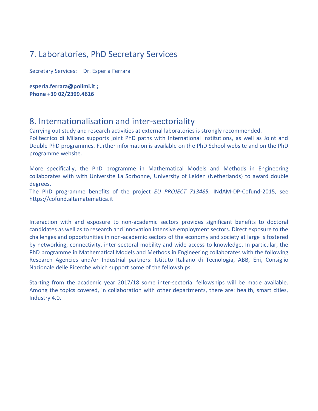### 7. Laboratories, PhD Secretary Services

Secretary Services: Dr. Esperia Ferrara

**[esperia.ferrara@polimi.it](mailto:esperia.ferrara@polimi.it) ; Phone +39 02/2399.4616**

### 8. Internationalisation and inter-sectoriality

Carrying out study and research activities at external laboratories is strongly recommended. Politecnico di Milano supports joint PhD paths with International Institutions, as well as Joint and Double PhD programmes. Further information is available on the PhD School website and on the PhD programme website.

More specifically, the PhD programme in Mathematical Models and Methods in Engineering collaborates with with Université La Sorbonne, University of Leiden (Netherlands) to award double degrees.

The PhD programme benefits of the project *EU PROJECT 713485,* INdAM-DP-Cofund-2015, see [https://cofund.altamatematica.it](https://cofund.altamatematica.it/)

Interaction with and exposure to non-academic sectors provides significant benefits to doctoral candidates as well as to research and innovation intensive employment sectors. Direct exposure to the challenges and opportunities in non-academic sectors of the economy and society at large is fostered by networking, connectivity, inter-sectoral mobility and wide access to knowledge. In particular, the PhD programme in Mathematical Models and Methods in Engineering collaborates with the following Research Agencies and/or Industrial partners: Istituto Italiano di Tecnologia, ABB, Eni, Consiglio Nazionale delle Ricerche which support some of the fellowships.

Starting from the academic year 2017/18 some inter-sectorial fellowships will be made available. Among the topics covered, in collaboration with other departments, there are: health, smart cities, Industry 4.0.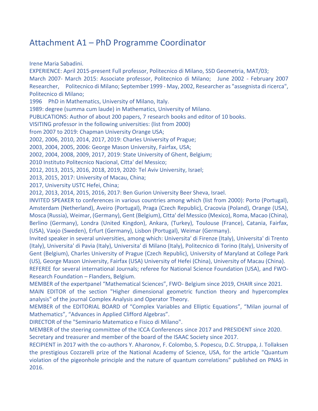## Attachment A1 – PhD Programme Coordinator

Irene Maria Sabadini.

EXPERIENCE: April 2015-present Full professor, Politecnico di Milano, SSD Geometria, MAT/03; March 2007- March 2015: Associate professor, Politecnico di Milano; June 2002 - February 2007 Researcher, Politecnico di Milano; September 1999 - May, 2002, Researcher as "assegnista di ricerca", Politecnico di Milano;

1996 PhD in Mathematics, University of Milano, Italy.

1989: degree (summa cum laude) in Mathematics, University of Milano.

PUBLICATIONS: Author of about 200 papers, 7 research books and editor of 10 books.

VISITING professor in the following universities: (list from 2000)

from 2007 to 2019: Chapman University Orange USA;

2002, 2006, 2010, 2014, 2017, 2019: Charles University of Prague;

2003, 2004, 2005, 2006: George Mason University, Fairfax, USA;

2002, 2004, 2008, 2009, 2017, 2019: State University of Ghent, Belgium;

2010 Instituto Politecnico Nacional, Citta' del Messico;

2012, 2013, 2015, 2016, 2018, 2019, 2020: Tel Aviv University, Israel;

2013, 2015, 2017: University of Macau, China;

2017, University USTC Hefei, China;

2012, 2013, 2014, 2015, 2016, 2017: Ben Gurion University Beer Sheva, Israel.

INVITED SPEAKER to conferences in various countries among which (list from 2000): Porto (Portugal), Amsterdam (Netherland), Aveiro (Portugal), Praga (Czech Republic), Cracovia (Poland), Orange (USA), Mosca (Russia), Weimar, (Germany), Gent (Belgium), Citta' del Messico (Mexico), Roma, Macao (China), Berlino (Germany), Londra (United Kingdon), Ankara, (Turkey), Toulouse (France), Catania, Fairfax, (USA), Vaxjo (Sweden), Erfurt (Germany), Lisbon (Portugal), Weimar (Germany).

Invited speaker in several universities, among which: Universita' di Firenze (Italy), Universita' di Trento (Italy), Universita' di Pavia (Italy), Universita' di Milano (Italy), Politecnico di Torino (Italy), University of Gent (Belgium), Charles University of Prague (Czech Republic), University of Maryland at College Park (US), George Mason University, Fairfax (USA) University of Hefei (China), University of Macau (China). REFEREE for several international Journals; referee for National Science Foundation (USA), and FWO-

Research Foundation – Flanders, Belgium.

MEMBER of the expertpanel "Mathematical Sciences", FWO- Belgium since 2019, CHAIR since 2021.

MAIN EDITOR of the section "Higher dimensional geometric function theory and hypercomplex analysis" of the journal Complex Analysis and Operator Theory.

MEMBER of the EDITORIAL BOARD of "Complex Variables and Elliptic Equations", "Milan journal of Mathematics", "Advances in Applied Clifford Algebras".

DIRECTOR of the "Seminario Matematico e Fisico di Milano".

MEMBER of the steering committee of the ICCA Conferences since 2017 and PRESIDENT since 2020. Secretary and treasurer and member of the board of the ISAAC Society since 2017.

RECIPIENT in 2017 with the co-authors Y. Aharonov, F. Colombo, S. Popescu, D.C. Struppa, J. Tollaksen the prestigious Cozzarelli prize of the National Academy of Science, USA, for the article "Quantum violation of the pigeonhole principle and the nature of quantum correlations" published on PNAS in 2016.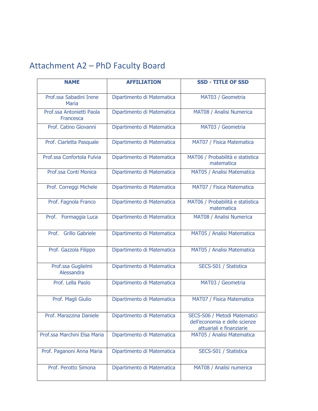# Attachment A2 – PhD Faculty Board

| <b>NAME</b>                            | <b>AFFILIATION</b>         | <b>SSD - TITLE OF SSD</b>                                                                 |
|----------------------------------------|----------------------------|-------------------------------------------------------------------------------------------|
| Prof.ssa Sabadini Irene<br>Maria       | Dipartimento di Matematica | MAT03 / Geometria                                                                         |
| Prof.ssa Antonietti Paola<br>Francesca | Dipartimento di Matematica | MAT08 / Analisi Numerica                                                                  |
| Prof. Catino Giovanni                  | Dipartimento di Matematica | MAT03 / Geometria                                                                         |
| Prof. Ciarletta Pasquale               | Dipartimento di Matematica | MAT07 / Fisica Matematica                                                                 |
| Prof.ssa Confortola Fulvia             | Dipartimento di Matematica | MAT06 / Probabilità e statistica<br>matematica                                            |
| Prof.ssa Conti Monica                  | Dipartimento di Matematica | MAT05 / Analisi Matematica                                                                |
| Prof. Correggi Michele                 | Dipartimento di Matematica | MAT07 / Fisica Matematica                                                                 |
| Prof. Fagnola Franco                   | Dipartimento di Matematica | MAT06 / Probabilità e statistica<br>matematica                                            |
| Prof. Formaggia Luca                   | Dipartimento di Matematica | MAT08 / Analisi Numerica                                                                  |
| <b>Grillo Gabriele</b><br>Prof.        | Dipartimento di Matematica | MAT05 / Analisi Matematica                                                                |
| Prof. Gazzola Filippo                  | Dipartimento di Matematica | MAT05 / Analisi Matematica                                                                |
| Prof.ssa Guglielmi<br>Alessandra       | Dipartimento di Matematica | SECS-S01 / Statistica                                                                     |
| Prof. Lella Paolo                      | Dipartimento di Matematica | MAT03 / Geometria                                                                         |
| Prof. Magli Giulio                     | Dipartimento di Matematica | MAT07 / Fisica Matematica                                                                 |
| Prof. Marazzina Daniele                | Dipartimento di Matematica | SECS-S06 / Metodi Matematici<br>dell'economia e delle scienze<br>attuariali e finanziarie |
| Prof.ssa Marchini Elsa Maria           | Dipartimento di Matematica | MAT05 / Analisi Matematica                                                                |
| Prof. Paganoni Anna Maria              | Dipartimento di Matematica | SECS-S01 / Statistica                                                                     |
| Prof. Perotto Simona                   | Dipartimento di Matematica | MAT08 / Analisi numerica                                                                  |